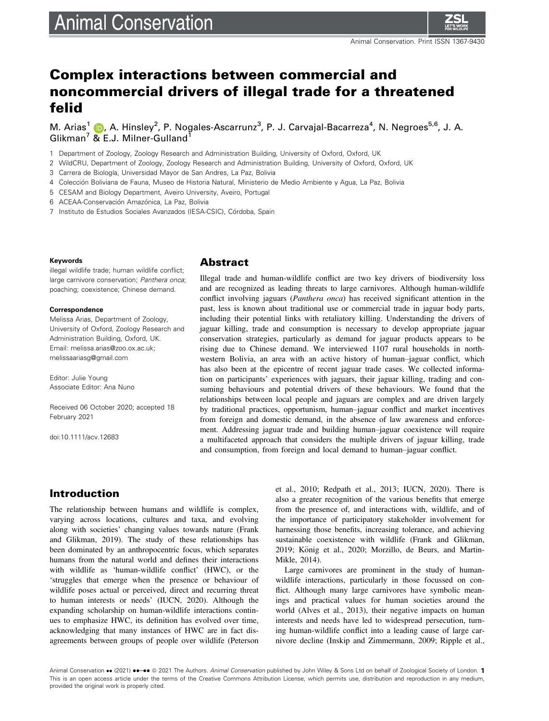# **Animal Conservation**

## Complex interactions between commercial and noncommercial drivers of illegal trade for a threatened felid

M. Arias<sup>1</sup> (D, A. Hinsley<sup>2</sup>, P. Nogales-Ascarrunz<sup>3</sup>, P. J. Carvajal-Bacarreza<sup>4</sup>, N. Negroes<sup>5,6</sup>, J. A. Glikman<sup>7</sup> & E.J. Milner-Gulland<sup>1</sup>

1 Department of Zoology, Zoology Research and Administration Building, University of Oxford, Oxford, UK

2 WildCRU, Department of Zoology, Zoology Research and Administration Building, University of Oxford, Oxford, UK

3 Carrera de Biología, Universidad Mayor de San Andres, La Paz, Bolivia

4 Coleccion Boliviana de Fauna, Museo de Historia Natural, Ministerio de Medio Ambiente y Agua, La Paz, Bolivia

5 CESAM and Biology Department, Aveiro University, Aveiro, Portugal

6 ACEAA-Conservación Amazónica, La Paz, Bolivia

7 Instituto de Estudios Sociales Avanzados (IESA-CSIC), Córdoba, Spain

#### Keywords

illegal wildlife trade; human wildlife conflict; large carnivore conservation; Panthera onca; poaching; coexistence; Chinese demand.

#### Correspondence

Melissa Arias, Department of Zoology, University of Oxford, Zoology Research and Administration Building, Oxford, UK. Email: [melissa.arias@zoo.ox.ac.uk;](mailto:) [melissaariasg@gmail.com](mailto:)

Editor: Julie Young Associate Editor: Ana Nuno

Received 06 October 2020; accepted 18 February 2021

doi:10.1111/acv.12683

## Abstract

Illegal trade and human-wildlife conflict are two key drivers of biodiversity loss and are recognized as leading threats to large carnivores. Although human-wildlife conflict involving jaguars (*Panthera onca*) has received significant attention in the past, less is known about traditional use or commercial trade in jaguar body parts, including their potential links with retaliatory killing. Understanding the drivers of jaguar killing, trade and consumption is necessary to develop appropriate jaguar conservation strategies, particularly as demand for jaguar products appears to be rising due to Chinese demand. We interviewed 1107 rural households in northwestern Bolivia, an area with an active history of human–jaguar conflict, which has also been at the epicentre of recent jaguar trade cases. We collected information on participants' experiences with jaguars, their jaguar killing, trading and consuming behaviours and potential drivers of these behaviours. We found that the relationships between local people and jaguars are complex and are driven largely by traditional practices, opportunism, human–jaguar conflict and market incentives from foreign and domestic demand, in the absence of law awareness and enforcement. Addressing jaguar trade and building human–jaguar coexistence will require a multifaceted approach that considers the multiple drivers of jaguar killing, trade and consumption, from foreign and local demand to human–jaguar conflict.

## Introduction

The relationship between humans and wildlife is complex, varying across locations, cultures and taxa, and evolving along with societies' changing values towards nature (Frank and Glikman, 2019). The study of these relationships has been dominated by an anthropocentric focus, which separates humans from the natural world and defines their interactions with wildlife as 'human-wildlife conflict' (HWC), or the 'struggles that emerge when the presence or behaviour of wildlife poses actual or perceived, direct and recurring threat to human interests or needs' (IUCN, 2020). Although the expanding scholarship on human-wildlife interactions continues to emphasize HWC, its definition has evolved over time, acknowledging that many instances of HWC are in fact disagreements between groups of people over wildlife (Peterson

et al., 2010; Redpath et al., 2013; IUCN, 2020). There is also a greater recognition of the various benefits that emerge from the presence of, and interactions with, wildlife, and of the importance of participatory stakeholder involvement for harnessing those benefits, increasing tolerance, and achieving sustainable coexistence with wildlife (Frank and Glikman, 2019; König et al., 2020; Morzillo, de Beurs, and Martin-Mikle, 2014).

Large carnivores are prominent in the study of humanwildlife interactions, particularly in those focussed on conflict. Although many large carnivores have symbolic meanings and practical values for human societies around the world (Alves et al., 2013), their negative impacts on human interests and needs have led to widespread persecution, turning human-wildlife conflict into a leading cause of large carnivore decline (Inskip and Zimmermann, 2009; Ripple et al.,

Animal Conservation •• (2021) ••-•• © 2021 The Authors. Animal Conservation published by John Wiley & Sons Ltd on behalf of Zoological Society of London. 1 This is an open access article under the terms of the [Creative Commons Attribution](http://creativecommons.org/licenses/by/4.0/) License, which permits use, distribution and reproduction in any medium, provided the original work is properly cited.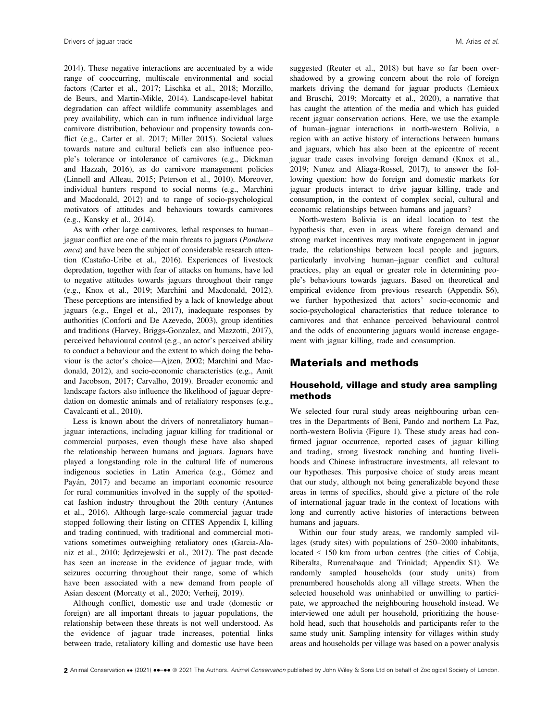2014). These negative interactions are accentuated by a wide range of cooccurring, multiscale environmental and social factors (Carter et al., 2017; Lischka et al., 2018; Morzillo, de Beurs, and Martin-Mikle, 2014). Landscape-level habitat degradation can affect wildlife community assemblages and prey availability, which can in turn influence individual large carnivore distribution, behaviour and propensity towards conflict (e.g., Carter et al. 2017; Miller 2015). Societal values towards nature and cultural beliefs can also influence people's tolerance or intolerance of carnivores (e.g., Dickman and Hazzah, 2016), as do carnivore management policies (Linnell and Alleau, 2015; Peterson et al., 2010). Moreover, individual hunters respond to social norms (e.g., Marchini and Macdonald, 2012) and to range of socio-psychological motivators of attitudes and behaviours towards carnivores (e.g., Kansky et al., 2014).

As with other large carnivores, lethal responses to human– jaguar conflict are one of the main threats to jaguars (Panthera onca) and have been the subject of considerable research attention (Castaño-Uribe et al., 2016). Experiences of livestock depredation, together with fear of attacks on humans, have led to negative attitudes towards jaguars throughout their range (e.g., Knox et al., 2019; Marchini and Macdonald, 2012). These perceptions are intensified by a lack of knowledge about jaguars (e.g., Engel et al., 2017), inadequate responses by authorities (Conforti and De Azevedo, 2003), group identities and traditions (Harvey, Briggs-Gonzalez, and Mazzotti, 2017), perceived behavioural control (e.g., an actor's perceived ability to conduct a behaviour and the extent to which doing the behaviour is the actor's choice—Ajzen, 2002; Marchini and Macdonald, 2012), and socio-economic characteristics (e.g., Amit and Jacobson, 2017; Carvalho, 2019). Broader economic and landscape factors also influence the likelihood of jaguar depredation on domestic animals and of retaliatory responses (e.g., Cavalcanti et al., 2010).

Less is known about the drivers of nonretaliatory human– jaguar interactions, including jaguar killing for traditional or commercial purposes, even though these have also shaped the relationship between humans and jaguars. Jaguars have played a longstanding role in the cultural life of numerous indigenous societies in Latin America (e.g., Gómez and Payán, 2017) and became an important economic resource for rural communities involved in the supply of the spottedcat fashion industry throughout the 20th century (Antunes et al., 2016). Although large-scale commercial jaguar trade stopped following their listing on CITES Appendix I, killing and trading continued, with traditional and commercial motivations sometimes outweighing retaliatory ones (Garcia-Alaniz et al., 2010; Jedrzejewski et al., 2017). The past decade has seen an increase in the evidence of jaguar trade, with seizures occurring throughout their range, some of which have been associated with a new demand from people of Asian descent (Morcatty et al., 2020; Verheij, 2019).

Although conflict, domestic use and trade (domestic or foreign) are all important threats to jaguar populations, the relationship between these threats is not well understood. As the evidence of jaguar trade increases, potential links between trade, retaliatory killing and domestic use have been

suggested (Reuter et al., 2018) but have so far been overshadowed by a growing concern about the role of foreign markets driving the demand for jaguar products (Lemieux and Bruschi, 2019; Morcatty et al., 2020), a narrative that has caught the attention of the media and which has guided recent jaguar conservation actions. Here, we use the example of human–jaguar interactions in north-western Bolivia, a region with an active history of interactions between humans and jaguars, which has also been at the epicentre of recent jaguar trade cases involving foreign demand (Knox et al., 2019; Nunez and Aliaga-Rossel, 2017), to answer the following question: how do foreign and domestic markets for jaguar products interact to drive jaguar killing, trade and consumption, in the context of complex social, cultural and economic relationships between humans and jaguars?

North-western Bolivia is an ideal location to test the hypothesis that, even in areas where foreign demand and strong market incentives may motivate engagement in jaguar trade, the relationships between local people and jaguars, particularly involving human–jaguar conflict and cultural practices, play an equal or greater role in determining people's behaviours towards jaguars. Based on theoretical and empirical evidence from previous research (Appendix S6), we further hypothesized that actors' socio-economic and socio-psychological characteristics that reduce tolerance to carnivores and that enhance perceived behavioural control and the odds of encountering jaguars would increase engagement with jaguar killing, trade and consumption.

## Materials and methods

#### Household, village and study area sampling methods

We selected four rural study areas neighbouring urban centres in the Departments of Beni, Pando and northern La Paz, north-western Bolivia (Figure 1). These study areas had confirmed jaguar occurrence, reported cases of jaguar killing and trading, strong livestock ranching and hunting livelihoods and Chinese infrastructure investments, all relevant to our hypotheses. This purposive choice of study areas meant that our study, although not being generalizable beyond these areas in terms of specifics, should give a picture of the role of international jaguar trade in the context of locations with long and currently active histories of interactions between humans and jaguars.

Within our four study areas, we randomly sampled villages (study sites) with populations of 250–2000 inhabitants, located < 150 km from urban centres (the cities of Cobija, Riberalta, Rurrenabaque and Trinidad; Appendix S1). We randomly sampled households (our study units) from prenumbered households along all village streets. When the selected household was uninhabited or unwilling to participate, we approached the neighbouring household instead. We interviewed one adult per household, prioritizing the household head, such that households and participants refer to the same study unit. Sampling intensity for villages within study areas and households per village was based on a power analysis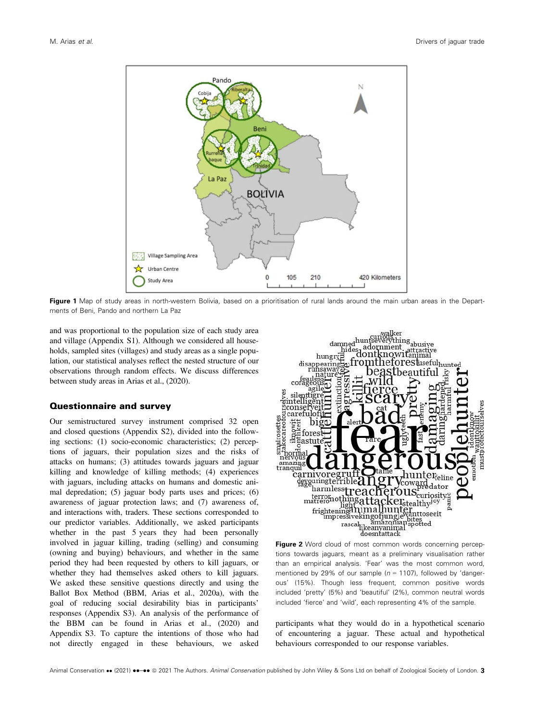

Figure 1 Map of study areas in north-western Bolivia, based on a prioritisation of rural lands around the main urban areas in the Departments of Beni, Pando and northern La Paz

and was proportional to the population size of each study area and village (Appendix S1). Although we considered all households, sampled sites (villages) and study areas as a single population, our statistical analyses reflect the nested structure of our observations through random effects. We discuss differences between study areas in Arias et al., (2020).

#### Questionnaire and survey

Our semistructured survey instrument comprised 32 open and closed questions (Appendix S2), divided into the following sections: (1) socio-economic characteristics; (2) perceptions of jaguars, their population sizes and the risks of attacks on humans; (3) attitudes towards jaguars and jaguar killing and knowledge of killing methods; (4) experiences with jaguars, including attacks on humans and domestic animal depredation; (5) jaguar body parts uses and prices; (6) awareness of jaguar protection laws; and (7) awareness of, and interactions with, traders. These sections corresponded to our predictor variables. Additionally, we asked participants whether in the past 5 years they had been personally involved in jaguar killing, trading (selling) and consuming (owning and buying) behaviours, and whether in the same period they had been requested by others to kill jaguars, or whether they had themselves asked others to kill jaguars. We asked these sensitive questions directly and using the Ballot Box Method (BBM, Arias et al., 2020a), with the goal of reducing social desirability bias in participants' responses (Appendix S3). An analysis of the performance of the BBM can be found in Arias et al., (2020) and Appendix S3. To capture the intentions of those who had not directly engaged in these behaviours, we asked



Figure 2 Word cloud of most common words concerning perceptions towards jaguars, meant as a preliminary visualisation rather than an empirical analysis. 'Fear' was the most common word, mentioned by 29% of our sample ( $n = 1107$ ), followed by 'dangerous' (15%). Though less frequent, common positive words included 'pretty' (5%) and 'beautiful' (2%), common neutral words included 'fierce' and 'wild', each representing 4% of the sample.

participants what they would do in a hypothetical scenario of encountering a jaguar. These actual and hypothetical behaviours corresponded to our response variables.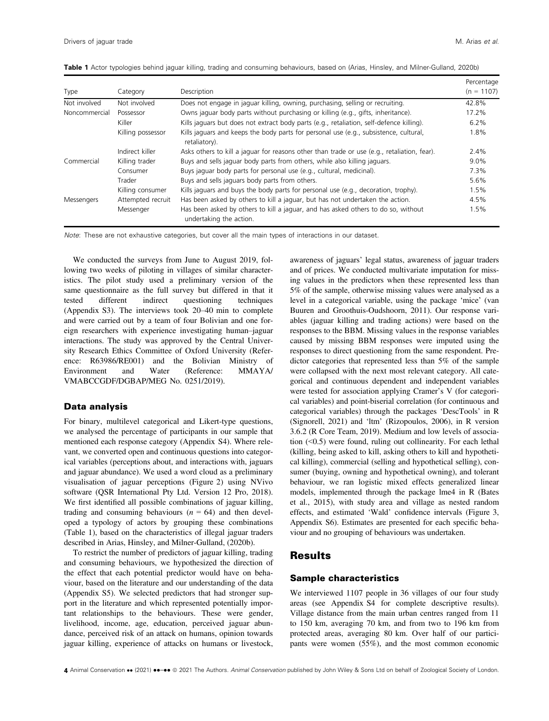| Type          | Category          | Description                                                                                                  | Percentage<br>$(n = 1107)$ |
|---------------|-------------------|--------------------------------------------------------------------------------------------------------------|----------------------------|
| Not involved  | Not involved      | Does not engage in jaguar killing, owning, purchasing, selling or recruiting.                                | 42.8%                      |
| Noncommercial | Possessor         | Owns jaguar body parts without purchasing or killing (e.g., gifts, inheritance).                             | 17.2%                      |
|               | Killer            | Kills jaguars but does not extract body parts (e.g., retaliation, self-defence killing).                     | 6.2%                       |
|               | Killing possessor | Kills jaguars and keeps the body parts for personal use (e.g., subsistence, cultural,<br>retaliatory).       | 1.8%                       |
|               | Indirect killer   | Asks others to kill a jaguar for reasons other than trade or use (e.g., retaliation, fear).                  | 2.4%                       |
| Commercial    | Killing trader    | Buys and sells jaguar body parts from others, while also killing jaguars.                                    | $9.0\%$                    |
|               | Consumer          | Buys jaguar body parts for personal use (e.g., cultural, medicinal).                                         | 7.3%                       |
|               | Trader            | Buys and sells jaguars body parts from others.                                                               | 5.6%                       |
|               | Killing consumer  | Kills jaguars and buys the body parts for personal use (e.g., decoration, trophy).                           | 1.5%                       |
| Messengers    | Attempted recruit | Has been asked by others to kill a jaguar, but has not undertaken the action.                                | 4.5%                       |
|               | Messenger         | Has been asked by others to kill a jaguar, and has asked others to do so, without<br>undertaking the action. | 1.5%                       |

Table 1 Actor typologies behind jaguar killing, trading and consuming behaviours, based on (Arias, Hinsley, and Milner-Gulland, 2020b)

Note: These are not exhaustive categories, but cover all the main types of interactions in our dataset.

We conducted the surveys from June to August 2019, following two weeks of piloting in villages of similar characteristics. The pilot study used a preliminary version of the same questionnaire as the full survey but differed in that it tested different indirect questioning techniques (Appendix S3). The interviews took 20–40 min to complete and were carried out by a team of four Bolivian and one foreign researchers with experience investigating human–jaguar interactions. The study was approved by the Central University Research Ethics Committee of Oxford University (Reference: R63986/RE001) and the Bolivian Ministry of Environment and Water (Reference: MMAYA/ VMABCCGDF/DGBAP/MEG No. 0251/2019).

#### Data analysis

For binary, multilevel categorical and Likert-type questions, we analysed the percentage of participants in our sample that mentioned each response category (Appendix S4). Where relevant, we converted open and continuous questions into categorical variables (perceptions about, and interactions with, jaguars and jaguar abundance). We used a word cloud as a preliminary visualisation of jaguar perceptions (Figure 2) using NVivo software (QSR International Pty Ltd. Version 12 Pro, 2018). We first identified all possible combinations of jaguar killing, trading and consuming behaviours ( $n = 64$ ) and then developed a typology of actors by grouping these combinations (Table 1), based on the characteristics of illegal jaguar traders described in Arias, Hinsley, and Milner-Gulland, (2020b).

To restrict the number of predictors of jaguar killing, trading and consuming behaviours, we hypothesized the direction of the effect that each potential predictor would have on behaviour, based on the literature and our understanding of the data (Appendix S5). We selected predictors that had stronger support in the literature and which represented potentially important relationships to the behaviours. These were gender, livelihood, income, age, education, perceived jaguar abundance, perceived risk of an attack on humans, opinion towards jaguar killing, experience of attacks on humans or livestock, awareness of jaguars' legal status, awareness of jaguar traders and of prices. We conducted multivariate imputation for missing values in the predictors when these represented less than 5% of the sample, otherwise missing values were analysed as a level in a categorical variable, using the package 'mice' (van Buuren and Groothuis-Oudshoorn, 2011). Our response variables (jaguar killing and trading actions) were based on the responses to the BBM. Missing values in the response variables caused by missing BBM responses were imputed using the responses to direct questioning from the same respondent. Predictor categories that represented less than 5% of the sample were collapsed with the next most relevant category. All categorical and continuous dependent and independent variables were tested for association applying Cramer's V (for categorical variables) and point-biserial correlation (for continuous and categorical variables) through the packages 'DescTools' in R (Signorell, 2021) and 'ltm' (Rizopoulos, 2006), in R version 3.6.2 (R Core Team, 2019). Medium and low levels of association (<0.5) were found, ruling out collinearity. For each lethal (killing, being asked to kill, asking others to kill and hypothetical killing), commercial (selling and hypothetical selling), consumer (buying, owning and hypothetical owning), and tolerant behaviour, we ran logistic mixed effects generalized linear models, implemented through the package lme4 in R (Bates et al., 2015), with study area and village as nested random effects, and estimated 'Wald' confidence intervals (Figure 3, Appendix S6). Estimates are presented for each specific behaviour and no grouping of behaviours was undertaken.

## **Results**

#### Sample characteristics

We interviewed 1107 people in 36 villages of our four study areas (see Appendix S4 for complete descriptive results). Village distance from the main urban centres ranged from 11 to 150 km, averaging 70 km, and from two to 196 km from protected areas, averaging 80 km. Over half of our participants were women (55%), and the most common economic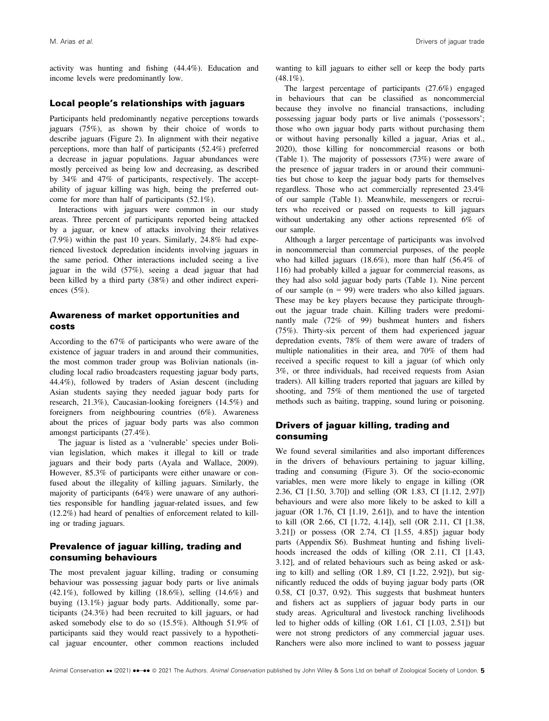activity was hunting and fishing (44.4%). Education and income levels were predominantly low.

#### Local people's relationships with jaguars

Participants held predominantly negative perceptions towards jaguars (75%), as shown by their choice of words to describe jaguars (Figure 2). In alignment with their negative perceptions, more than half of participants (52.4%) preferred a decrease in jaguar populations. Jaguar abundances were mostly perceived as being low and decreasing, as described by 34% and 47% of participants, respectively. The acceptability of jaguar killing was high, being the preferred outcome for more than half of participants (52.1%).

Interactions with jaguars were common in our study areas. Three percent of participants reported being attacked by a jaguar, or knew of attacks involving their relatives (7.9%) within the past 10 years. Similarly, 24.8% had experienced livestock depredation incidents involving jaguars in the same period. Other interactions included seeing a live jaguar in the wild (57%), seeing a dead jaguar that had been killed by a third party (38%) and other indirect experiences (5%).

## Awareness of market opportunities and costs

According to the 67% of participants who were aware of the existence of jaguar traders in and around their communities, the most common trader group was Bolivian nationals (including local radio broadcasters requesting jaguar body parts, 44.4%), followed by traders of Asian descent (including Asian students saying they needed jaguar body parts for research, 21.3%), Caucasian-looking foreigners (14.5%) and foreigners from neighbouring countries (6%). Awareness about the prices of jaguar body parts was also common amongst participants (27.4%).

The jaguar is listed as a 'vulnerable' species under Bolivian legislation, which makes it illegal to kill or trade jaguars and their body parts (Ayala and Wallace, 2009). However, 85.3% of participants were either unaware or confused about the illegality of killing jaguars. Similarly, the majority of participants (64%) were unaware of any authorities responsible for handling jaguar-related issues, and few (12.2%) had heard of penalties of enforcement related to killing or trading jaguars.

#### Prevalence of jaguar killing, trading and consuming behaviours

The most prevalent jaguar killing, trading or consuming behaviour was possessing jaguar body parts or live animals  $(42.1\%)$ , followed by killing  $(18.6\%)$ , selling  $(14.6\%)$  and buying (13.1%) jaguar body parts. Additionally, some participants (24.3%) had been recruited to kill jaguars, or had asked somebody else to do so (15.5%). Although 51.9% of participants said they would react passively to a hypothetical jaguar encounter, other common reactions included

wanting to kill jaguars to either sell or keep the body parts  $(48.1\%)$ .

The largest percentage of participants (27.6%) engaged in behaviours that can be classified as noncommercial because they involve no financial transactions, including possessing jaguar body parts or live animals ('possessors'; those who own jaguar body parts without purchasing them or without having personally killed a jaguar, Arias et al., 2020), those killing for noncommercial reasons or both (Table 1). The majority of possessors (73%) were aware of the presence of jaguar traders in or around their communities but chose to keep the jaguar body parts for themselves regardless. Those who act commercially represented 23.4% of our sample (Table 1). Meanwhile, messengers or recruiters who received or passed on requests to kill jaguars without undertaking any other actions represented 6% of our sample.

Although a larger percentage of participants was involved in noncommercial than commercial purposes, of the people who had killed jaguars (18.6%), more than half (56.4% of 116) had probably killed a jaguar for commercial reasons, as they had also sold jaguar body parts (Table 1). Nine percent of our sample (n = 99) were traders who also killed jaguars. These may be key players because they participate throughout the jaguar trade chain. Killing traders were predominantly male (72% of 99) bushmeat hunters and fishers (75%). Thirty-six percent of them had experienced jaguar depredation events, 78% of them were aware of traders of multiple nationalities in their area, and 70% of them had received a specific request to kill a jaguar (of which only 3%, or three individuals, had received requests from Asian traders). All killing traders reported that jaguars are killed by shooting, and 75% of them mentioned the use of targeted methods such as baiting, trapping, sound luring or poisoning.

### Drivers of jaguar killing, trading and consuming

We found several similarities and also important differences in the drivers of behaviours pertaining to jaguar killing, trading and consuming (Figure 3). Of the socio-economic variables, men were more likely to engage in killing (OR 2.36, CI [1.50, 3.70]) and selling (OR 1.83, CI [1.12, 2.97]) behaviours and were also more likely to be asked to kill a jaguar (OR 1.76, CI [1.19, 2.61]), and to have the intention to kill (OR 2.66, CI [1.72, 4.14]), sell (OR 2.11, CI [1.38, 3.21]) or possess (OR 2.74, CI [1.55, 4.85]) jaguar body parts (Appendix S6). Bushmeat hunting and fishing livelihoods increased the odds of killing (OR 2.11, CI [1.43, 3.12], and of related behaviours such as being asked or asking to kill) and selling (OR 1.89, CI [1.22, 2.92]), but significantly reduced the odds of buying jaguar body parts (OR 0.58, CI [0.37, 0.92). This suggests that bushmeat hunters and fishers act as suppliers of jaguar body parts in our study areas. Agricultural and livestock ranching livelihoods led to higher odds of killing (OR 1.61, CI [1.03, 2.51]) but were not strong predictors of any commercial jaguar uses. Ranchers were also more inclined to want to possess jaguar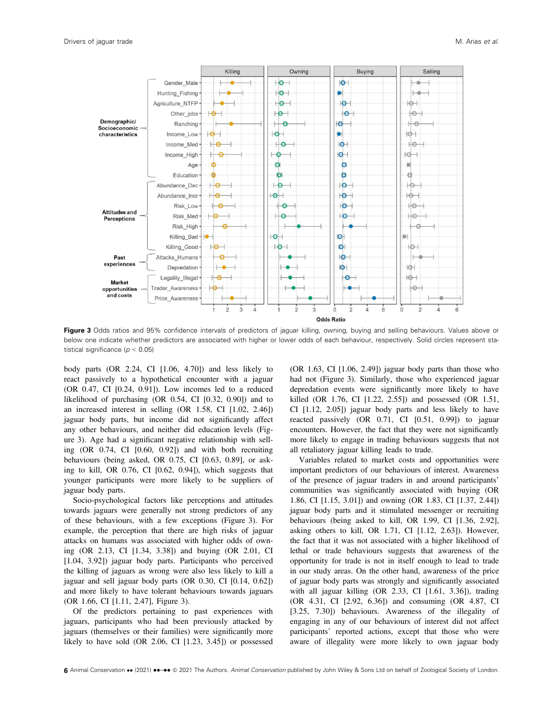

Figure 3 Odds ratios and 95% confidence intervals of predictors of jaguar killing, owning, buying and selling behaviours. Values above or below one indicate whether predictors are associated with higher or lower odds of each behaviour, respectively. Solid circles represent statistical significance ( $p < 0.05$ )

body parts (OR 2.24, CI [1.06, 4.70]) and less likely to react passively to a hypothetical encounter with a jaguar (OR 0.47, CI [0.24, 0.91]). Low incomes led to a reduced likelihood of purchasing (OR 0.54, CI [0.32, 0.90]) and to an increased interest in selling (OR 1.58, CI [1.02, 2.46]) jaguar body parts, but income did not significantly affect any other behaviours, and neither did education levels (Figure 3). Age had a significant negative relationship with selling (OR 0.74, CI [0.60, 0.92]) and with both recruiting behaviours (being asked, OR 0.75, CI [0.63, 0.89], or asking to kill, OR 0.76, CI [0.62, 0.94]), which suggests that younger participants were more likely to be suppliers of jaguar body parts.

Socio-psychological factors like perceptions and attitudes towards jaguars were generally not strong predictors of any of these behaviours, with a few exceptions (Figure 3). For example, the perception that there are high risks of jaguar attacks on humans was associated with higher odds of owning (OR 2.13, CI [1.34, 3.38]) and buying (OR 2.01, CI [1.04, 3.92]) jaguar body parts. Participants who perceived the killing of jaguars as wrong were also less likely to kill a jaguar and sell jaguar body parts (OR 0.30, CI [0.14, 0.62]) and more likely to have tolerant behaviours towards jaguars (OR 1.66, CI [1.11, 2.47], Figure 3).

Of the predictors pertaining to past experiences with jaguars, participants who had been previously attacked by jaguars (themselves or their families) were significantly more likely to have sold (OR 2.06, CI [1.23, 3.45]) or possessed

(OR 1.63, CI [1.06, 2.49]) jaguar body parts than those who had not (Figure 3). Similarly, those who experienced jaguar depredation events were significantly more likely to have killed (OR 1.76, CI [1.22, 2.55]) and possessed (OR 1.51, CI [1.12, 2.05]) jaguar body parts and less likely to have reacted passively (OR 0.71, CI [0.51, 0.99]) to jaguar encounters. However, the fact that they were not significantly more likely to engage in trading behaviours suggests that not all retaliatory jaguar killing leads to trade.

Variables related to market costs and opportunities were important predictors of our behaviours of interest. Awareness of the presence of jaguar traders in and around participants' communities was significantly associated with buying (OR 1.86, CI [1.15, 3.01]) and owning (OR 1.83, CI [1.37, 2.44]) jaguar body parts and it stimulated messenger or recruiting behaviours (being asked to kill, OR 1.99, CI [1.36, 2.92], asking others to kill, OR 1.71, CI [1.12, 2.63]). However, the fact that it was not associated with a higher likelihood of lethal or trade behaviours suggests that awareness of the opportunity for trade is not in itself enough to lead to trade in our study areas. On the other hand, awareness of the price of jaguar body parts was strongly and significantly associated with all jaguar killing (OR 2.33, CI [1.61, 3.36]), trading (OR 4.31, CI [2.92, 6.36]) and consuming (OR 4.87, CI [3.25, 7.30]) behaviours. Awareness of the illegality of engaging in any of our behaviours of interest did not affect participants' reported actions, except that those who were aware of illegality were more likely to own jaguar body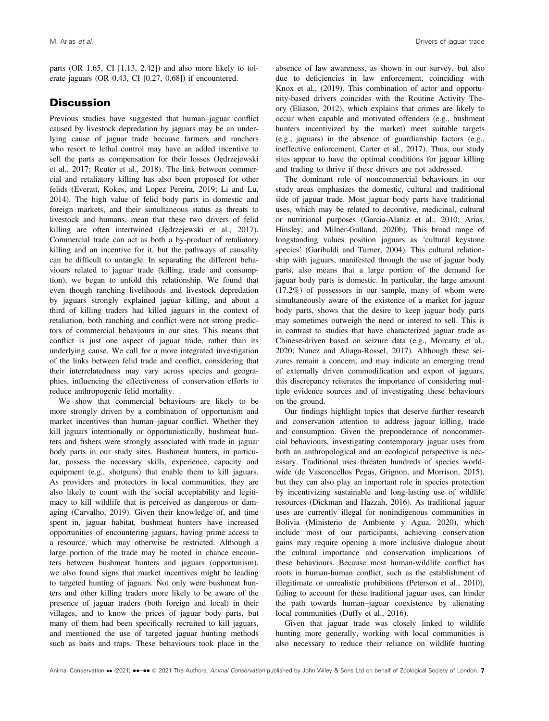parts (OR 1.65, CI [1.13, 2.42]) and also more likely to tolerate jaguars (OR 0.43, CI [0.27, 0.68]) if encountered.

## **Discussion**

Previous studies have suggested that human–jaguar conflict caused by livestock depredation by jaguars may be an underlying cause of jaguar trade because farmers and ranchers who resort to lethal control may have an added incentive to sell the parts as compensation for their losses (Jedrzejewski et al., 2017; Reuter et al., 2018). The link between commercial and retaliatory killing has also been proposed for other felids (Everatt, Kokes, and Lopez Pereira, 2019; Li and Lu, 2014). The high value of felid body parts in domestic and foreign markets, and their simultaneous status as threats to livestock and humans, mean that these two drivers of felid killing are often intertwined (Jedrzejewski et al., 2017). Commercial trade can act as both a by-product of retaliatory killing and an incentive for it, but the pathways of causality can be difficult to untangle. In separating the different behaviours related to jaguar trade (killing, trade and consumption), we began to unfold this relationship. We found that even though ranching livelihoods and livestock depredation by jaguars strongly explained jaguar killing, and about a third of killing traders had killed jaguars in the context of retaliation, both ranching and conflict were not strong predictors of commercial behaviours in our sites. This means that conflict is just one aspect of jaguar trade, rather than its underlying cause. We call for a more integrated investigation of the links between felid trade and conflict, considering that their interrelatedness may vary across species and geographies, influencing the effectiveness of conservation efforts to reduce anthropogenic felid mortality.

We show that commercial behaviours are likely to be more strongly driven by a combination of opportunism and market incentives than human–jaguar conflict. Whether they kill jaguars intentionally or opportunistically, bushmeat hunters and fishers were strongly associated with trade in jaguar body parts in our study sites. Bushmeat hunters, in particular, possess the necessary skills, experience, capacity and equipment (e.g., shotguns) that enable them to kill jaguars. As providers and protectors in local communities, they are also likely to count with the social acceptability and legitimacy to kill wildlife that is perceived as dangerous or damaging (Carvalho, 2019). Given their knowledge of, and time spent in, jaguar habitat, bushmeat hunters have increased opportunities of encountering jaguars, having prime access to a resource, which may otherwise be restricted. Although a large portion of the trade may be rooted in chance encounters between bushmeat hunters and jaguars (opportunism), we also found signs that market incentives might be leading to targeted hunting of jaguars. Not only were bushmeat hunters and other killing traders more likely to be aware of the presence of jaguar traders (both foreign and local) in their villages, and to know the prices of jaguar body parts, but many of them had been specifically recruited to kill jaguars, and mentioned the use of targeted jaguar hunting methods such as baits and traps. These behaviours took place in the absence of law awareness, as shown in our survey, but also due to deficiencies in law enforcement, coinciding with Knox et al., (2019). This combination of actor and opportunity-based drivers coincides with the Routine Activity Theory (Eliason, 2012), which explains that crimes are likely to occur when capable and motivated offenders (e.g., bushmeat hunters incentivized by the market) meet suitable targets (e.g., jaguars) in the absence of guardianship factors (e.g., ineffective enforcement, Carter et al., 2017). Thus, our study sites appear to have the optimal conditions for jaguar killing and trading to thrive if these drivers are not addressed.

The dominant role of noncommercial behaviours in our study areas emphasizes the domestic, cultural and traditional side of jaguar trade. Most jaguar body parts have traditional uses, which may be related to decorative, medicinal, cultural or nutritional purposes (Garcia-Alaniz et al., 2010; Arias, Hinsley, and Milner-Gulland, 2020b). This broad range of longstanding values position jaguars as 'cultural keystone species' (Garibaldi and Turner, 2004). This cultural relationship with jaguars, manifested through the use of jaguar body parts, also means that a large portion of the demand for jaguar body parts is domestic. In particular, the large amount (17.2%) of possessors in our sample, many of whom were simultaneously aware of the existence of a market for jaguar body parts, shows that the desire to keep jaguar body parts may sometimes outweigh the need or interest to sell. This is in contrast to studies that have characterized jaguar trade as Chinese-driven based on seizure data (e.g., Morcatty et al., 2020; Nunez and Aliaga-Rossel, 2017). Although these seizures remain a concern, and may indicate an emerging trend of externally driven commodification and export of jaguars, this discrepancy reiterates the importance of considering multiple evidence sources and of investigating these behaviours on the ground.

Our findings highlight topics that deserve further research and conservation attention to address jaguar killing, trade and consumption. Given the preponderance of noncommercial behaviours, investigating contemporary jaguar uses from both an anthropological and an ecological perspective is necessary. Traditional uses threaten hundreds of species worldwide (de Vasconcellos Pegas, Grignon, and Morrison, 2015), but they can also play an important role in species protection by incentivizing sustainable and long-lasting use of wildlife resources (Dickman and Hazzah, 2016). As traditional jaguar uses are currently illegal for nonindigenous communities in Bolivia (Ministerio de Ambiente y Agua, 2020), which include most of our participants, achieving conservation gains may require opening a more inclusive dialogue about the cultural importance and conservation implications of these behaviours. Because most human-wildlife conflict has roots in human-human conflict, such as the establishment of illegitimate or unrealistic prohibitions (Peterson et al., 2010), failing to account for these traditional jaguar uses, can hinder the path towards human–jaguar coexistence by alienating local communities (Duffy et al., 2016).

Given that jaguar trade was closely linked to wildlife hunting more generally, working with local communities is also necessary to reduce their reliance on wildlife hunting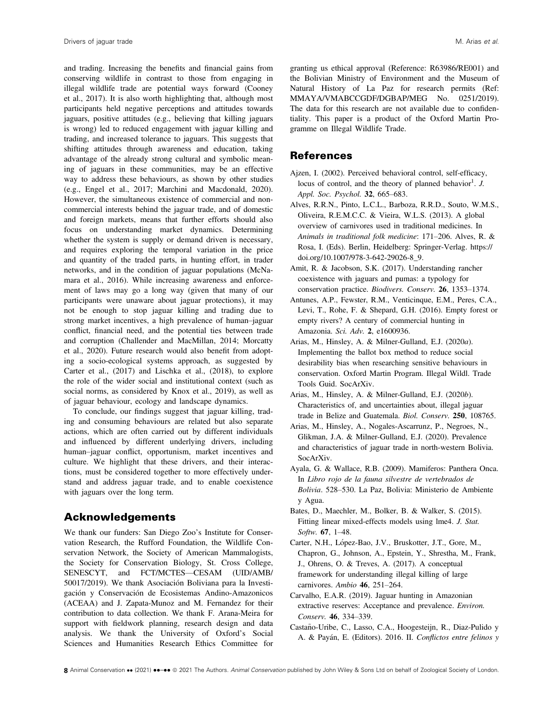and trading. Increasing the benefits and financial gains from conserving wildlife in contrast to those from engaging in illegal wildlife trade are potential ways forward (Cooney et al., 2017). It is also worth highlighting that, although most participants held negative perceptions and attitudes towards jaguars, positive attitudes (e.g., believing that killing jaguars is wrong) led to reduced engagement with jaguar killing and trading, and increased tolerance to jaguars. This suggests that shifting attitudes through awareness and education, taking advantage of the already strong cultural and symbolic meaning of jaguars in these communities, may be an effective way to address these behaviours, as shown by other studies (e.g., Engel et al., 2017; Marchini and Macdonald, 2020). However, the simultaneous existence of commercial and noncommercial interests behind the jaguar trade, and of domestic and foreign markets, means that further efforts should also focus on understanding market dynamics. Determining whether the system is supply or demand driven is necessary, and requires exploring the temporal variation in the price and quantity of the traded parts, in hunting effort, in trader networks, and in the condition of jaguar populations (McNamara et al., 2016). While increasing awareness and enforcement of laws may go a long way (given that many of our participants were unaware about jaguar protections), it may not be enough to stop jaguar killing and trading due to strong market incentives, a high prevalence of human–jaguar conflict, financial need, and the potential ties between trade and corruption (Challender and MacMillan, 2014; Morcatty et al., 2020). Future research would also benefit from adopting a socio-ecological systems approach, as suggested by Carter et al., (2017) and Lischka et al., (2018), to explore the role of the wider social and institutional context (such as social norms, as considered by Knox et al., 2019), as well as of jaguar behaviour, ecology and landscape dynamics.

To conclude, our findings suggest that jaguar killing, trading and consuming behaviours are related but also separate actions, which are often carried out by different individuals and influenced by different underlying drivers, including human–jaguar conflict, opportunism, market incentives and culture. We highlight that these drivers, and their interactions, must be considered together to more effectively understand and address jaguar trade, and to enable coexistence with jaguars over the long term.

## Acknowledgements

We thank our funders: San Diego Zoo's Institute for Conservation Research, the Rufford Foundation, the Wildlife Conservation Network, the Society of American Mammalogists, the Society for Conservation Biology, St. Cross College, SENESCYT, and FCT/MCTES—CESAM (UID/AMB/ 50017/2019). We thank Asociacion Boliviana para la Investigacion y Conservacion de Ecosistemas Andino-Amazonicos (ACEAA) and J. Zapata-Munoz and M. Fernandez for their contribution to data collection. We thank F. Arana-Meira for support with fieldwork planning, research design and data analysis. We thank the University of Oxford's Social Sciences and Humanities Research Ethics Committee for

granting us ethical approval (Reference: R63986/RE001) and the Bolivian Ministry of Environment and the Museum of Natural History of La Paz for research permits (Ref: MMAYA/VMABCCGDF/DGBAP/MEG No. 0251/2019). The data for this research are not available due to confidentiality. This paper is a product of the Oxford Martin Programme on Illegal Wildlife Trade.

#### References

- Ajzen, I. (2002). Perceived behavioral control, self-efficacy, locus of control, and the theory of planned behavior<sup>1</sup>. J. Appl. Soc. Psychol. 32, 665–683.
- Alves, R.R.N., Pinto, L.C.L., Barboza, R.R.D., Souto, W.M.S., Oliveira, R.E.M.C.C. & Vieira, W.L.S. (2013). A global overview of carnivores used in traditional medicines. In Animals in traditional folk medicine: 171–206. Alves, R. & Rosa, I. (Eds). Berlin, Heidelberg: Springer-Verlag. [https://](https://doi.org/10.1007/978-3-642-29026-8_9) [doi.org/10.1007/978-3-642-29026-8\\_9.](https://doi.org/10.1007/978-3-642-29026-8_9)
- Amit, R. & Jacobson, S.K. (2017). Understanding rancher coexistence with jaguars and pumas: a typology for conservation practice. Biodivers. Conserv. 26, 1353–1374.
- Antunes, A.P., Fewster, R.M., Venticinque, E.M., Peres, C.A., Levi, T., Rohe, F. & Shepard, G.H. (2016). Empty forest or empty rivers? A century of commercial hunting in Amazonia. Sci. Adv. 2, e1600936.
- Arias, M., Hinsley, A. & Milner-Gulland, E.J. (2020a). Implementing the ballot box method to reduce social desirability bias when researching sensitive behaviours in conservation. Oxford Martin Program. Illegal Wildl. Trade Tools Guid. SocArXiv.
- Arias, M., Hinsley, A. & Milner-Gulland, E.J. (2020b). Characteristics of, and uncertainties about, illegal jaguar trade in Belize and Guatemala. Biol. Conserv. 250, 108765.
- Arias, M., Hinsley, A., Nogales-Ascarrunz, P., Negroes, N., Glikman, J.A. & Milner-Gulland, E.J. (2020). Prevalence and characteristics of jaguar trade in north-western Bolivia. SocArXiv.
- Ayala, G. & Wallace, R.B. (2009). Mamiferos: Panthera Onca. In Libro rojo de la fauna silvestre de vertebrados de Bolivia. 528–530. La Paz, Bolivia: Ministerio de Ambiente y Agua.
- Bates, D., Maechler, M., Bolker, B. & Walker, S. (2015). Fitting linear mixed-effects models using lme4. J. Stat. Softw. 67, 1–48.
- Carter, N.H., López-Bao, J.V., Bruskotter, J.T., Gore, M., Chapron, G., Johnson, A., Epstein, Y., Shrestha, M., Frank, J., Ohrens, O. & Treves, A. (2017). A conceptual framework for understanding illegal killing of large carnivores. Ambio 46, 251–264.
- Carvalho, E.A.R. (2019). Jaguar hunting in Amazonian extractive reserves: Acceptance and prevalence. Environ. Conserv. 46, 334–339.
- Castaño-Uribe, C., Lasso, C.A., Hoogesteijn, R., Diaz-Pulido y A. & Payan, E. (Editors). 2016. II. Conflictos entre felinos y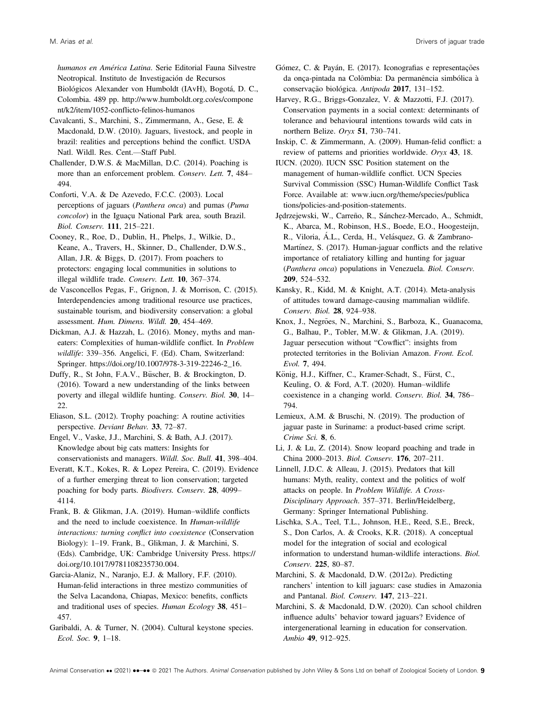humanos en América Latina. Serie Editorial Fauna Silvestre Neotropical. Instituto de Investigación de Recursos Biológicos Alexander von Humboldt (IAvH), Bogotá, D. C., Colombia. 489 pp. [http://www.humboldt.org.co/es/compone](http://www.humboldt.org.co/es/component/k2/item/1052-conflicto-felinos-humanos) [nt/k2/item/1052-conflicto-felinos-humanos](http://www.humboldt.org.co/es/component/k2/item/1052-conflicto-felinos-humanos)

Cavalcanti, S., Marchini, S., Zimmermann, A., Gese, E. & Macdonald, D.W. (2010). Jaguars, livestock, and people in brazil: realities and perceptions behind the conflict. USDA Natl. Wildl. Res. Cent.—Staff Publ.

Challender, D.W.S. & MacMillan, D.C. (2014). Poaching is more than an enforcement problem. Conserv. Lett. 7, 484– 494.

Conforti, V.A. & De Azevedo, F.C.C. (2003). Local perceptions of jaguars (Panthera onca) and pumas (Puma concolor) in the Iguaçu National Park area, south Brazil. Biol. Conserv. 111, 215–221.

Cooney, R., Roe, D., Dublin, H., Phelps, J., Wilkie, D., Keane, A., Travers, H., Skinner, D., Challender, D.W.S., Allan, J.R. & Biggs, D. (2017). From poachers to protectors: engaging local communities in solutions to illegal wildlife trade. Conserv. Lett. 10, 367–374.

de Vasconcellos Pegas, F., Grignon, J. & Morrison, C. (2015). Interdependencies among traditional resource use practices, sustainable tourism, and biodiversity conservation: a global assessment. Hum. Dimens. Wildl. 20, 454–469.

Dickman, A.J. & Hazzah, L. (2016). Money, myths and maneaters: Complexities of human-wildlife conflict. In Problem wildlife: 339–356. Angelici, F. (Ed). Cham, Switzerland: Springer. [https://doi.org/10.1007/978-3-319-22246-2\\_16](https://doi.org/10.1007/978-3-319-22246-2_16).

Duffy, R., St John, F.A.V., Büscher, B. & Brockington, D. (2016). Toward a new understanding of the links between poverty and illegal wildlife hunting. Conserv. Biol. 30, 14– 22.

Eliason, S.L. (2012). Trophy poaching: A routine activities perspective. Deviant Behav. 33, 72–87.

Engel, V., Vaske, J.J., Marchini, S. & Bath, A.J. (2017). Knowledge about big cats matters: Insights for conservationists and managers. Wildl. Soc. Bull. 41, 398–404.

Everatt, K.T., Kokes, R. & Lopez Pereira, C. (2019). Evidence of a further emerging threat to lion conservation; targeted poaching for body parts. Biodivers. Conserv. 28, 4099– 4114.

Frank, B. & Glikman, J.A. (2019). Human–wildlife conflicts and the need to include coexistence. In Human-wildlife interactions: turning conflict into coexistence (Conservation Biology): 1–19. Frank, B., Glikman, J. & Marchini, S. (Eds). Cambridge, UK: Cambridge University Press. [https://](https://doi.org/10.1017/9781108235730.004) [doi.org/10.1017/9781108235730.004](https://doi.org/10.1017/9781108235730.004).

Garcia-Alaniz, N., Naranjo, E.J. & Mallory, F.F. (2010). Human-felid interactions in three mestizo communities of the Selva Lacandona, Chiapas, Mexico: benefits, conflicts and traditional uses of species. Human Ecology 38, 451– 457.

Garibaldi, A. & Turner, N. (2004). Cultural keystone species. Ecol. Soc. 9, 1–18.

Gómez, C. & Payán, E. (2017). Iconografias e representações da onça-pintada na Colômbia: Da permanência simbólica à conservação biológica. Antipoda 2017, 131-152.

Harvey, R.G., Briggs-Gonzalez, V. & Mazzotti, F.J. (2017). Conservation payments in a social context: determinants of tolerance and behavioural intentions towards wild cats in northern Belize. Oryx 51, 730–741.

Inskip, C. & Zimmermann, A. (2009). Human-felid conflict: a review of patterns and priorities worldwide. Oryx 43, 18.

IUCN. (2020). IUCN SSC Position statement on the management of human-wildlife conflict. UCN Species Survival Commission (SSC) Human-Wildlife Conflict Task Force. Available at: [www.iucn.org/theme/species/publica](https://www.iucn.org/theme/species/publications/policies-and-position-statements) [tions/policies-and-position-statements.](https://www.iucn.org/theme/species/publications/policies-and-position-statements)

Jędrzejewski, W., Carreño, R., Sánchez-Mercado, A., Schmidt, K., Abarca, M., Robinson, H.S., Boede, E.O., Hoogesteijn, R., Viloria, A.L., Cerda, H., Velásquez, G. & Zambrano-Martínez, S. (2017). Human-jaguar conflicts and the relative importance of retaliatory killing and hunting for jaguar (Panthera onca) populations in Venezuela. Biol. Conserv. 209, 524–532.

Kansky, R., Kidd, M. & Knight, A.T. (2014). Meta-analysis of attitudes toward damage-causing mammalian wildlife. Conserv. Biol. 28, 924–938.

Knox, J., Negrões, N., Marchini, S., Barboza, K., Guanacoma, G., Balhau, P., Tobler, M.W. & Glikman, J.A. (2019). Jaguar persecution without "Cowflict": insights from protected territories in the Bolivian Amazon. Front. Ecol. Evol. 7, 494.

König, H.J., Kiffner, C., Kramer-Schadt, S., Fürst, C., Keuling, O. & Ford, A.T. (2020). Human–wildlife coexistence in a changing world. Conserv. Biol. 34, 786– 794.

Lemieux, A.M. & Bruschi, N. (2019). The production of jaguar paste in Suriname: a product-based crime script. Crime Sci. 8, 6.

Li, J. & Lu, Z. (2014). Snow leopard poaching and trade in China 2000–2013. Biol. Conserv. 176, 207–211.

Linnell, J.D.C. & Alleau, J. (2015). Predators that kill humans: Myth, reality, context and the politics of wolf attacks on people. In Problem Wildlife. A Cross-Disciplinary Approach. 357–371. Berlin/Heidelberg, Germany: Springer International Publishing.

Lischka, S.A., Teel, T.L., Johnson, H.E., Reed, S.E., Breck, S., Don Carlos, A. & Crooks, K.R. (2018). A conceptual model for the integration of social and ecological information to understand human-wildlife interactions. Biol. Conserv. 225, 80–87.

Marchini, S. & Macdonald, D.W. (2012a). Predicting ranchers' intention to kill jaguars: case studies in Amazonia and Pantanal. Biol. Conserv. 147, 213–221.

Marchini, S. & Macdonald, D.W. (2020). Can school children influence adults' behavior toward jaguars? Evidence of intergenerational learning in education for conservation. Ambio 49, 912–925.

Animal Conservation •• (2021) ••-•• © 2021 The Authors. Animal Conservation published by John Wiley & Sons Ltd on behalf of Zoological Society of London. 9